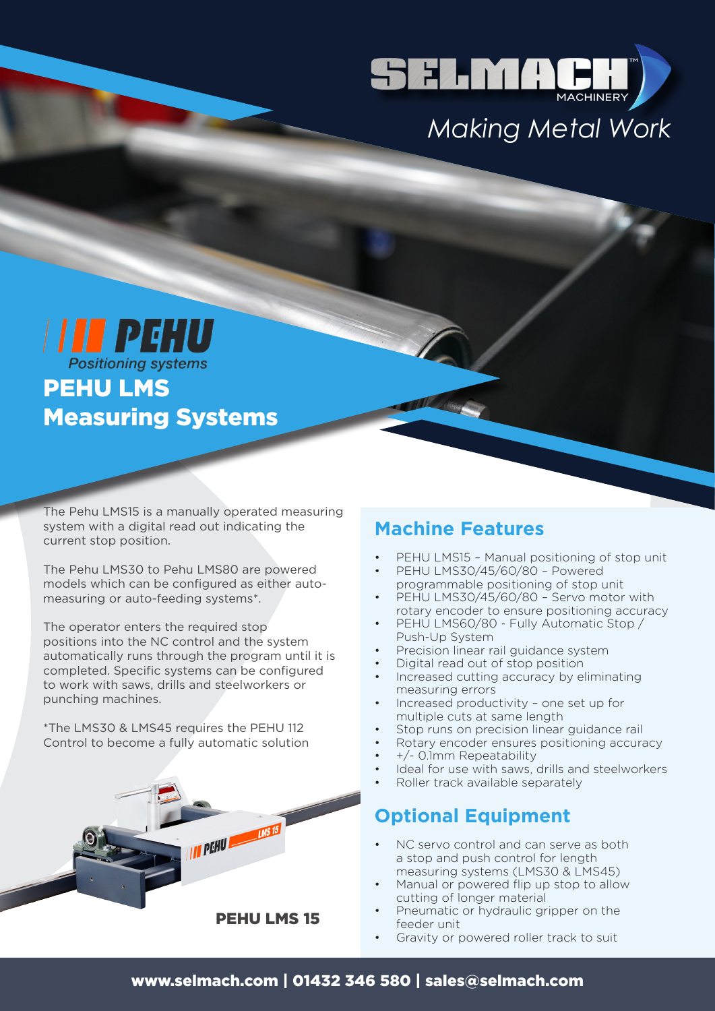

# *Making Metal Work*

**III** PEHU PEHU LMS Measuring Systems

The Pehu LMS15 is a manually operated measuring system with a digital read out indicating the current stop position.

The Pehu LMS30 to Pehu LMS80 are powered models which can be configured as either automeasuring or auto-feeding systems\*.

The operator enters the required stop positions into the NC control and the system automatically runs through the program until it is completed. Specific systems can be configured to work with saws, drills and steelworkers or punching machines.

\*The LMS30 & LMS45 requires the PEHU 112 Control to become a fully automatic solution



#### **Machine Features**

- PEHU LMS15 Manual positioning of stop unit
- PEHU LMS30/45/60/80 Powered programmable positioning of stop unit
- PEHU LMS30/45/60/80 Servo motor with rotary encoder to ensure positioning accuracy
- PEHU LMS60/80 Fully Automatic Stop / Push-Up System
- Precision linear rail guidance system
- Digital read out of stop position
- Increased cutting accuracy by eliminating measuring errors
- Increased productivity one set up for multiple cuts at same length
- Stop runs on precision linear guidance rail
- Rotary encoder ensures positioning accuracy
- +/- 0.1mm Repeatability
- Ideal for use with saws, drills and steelworkers
- Roller track available separately

### **Optional Equipment**

- NC servo control and can serve as both a stop and push control for length measuring systems (LMS30 & LMS45)
- Manual or powered flip up stop to allow cutting of longer material
- Pneumatic or hydraulic gripper on the feeder unit
- Gravity or powered roller track to suit